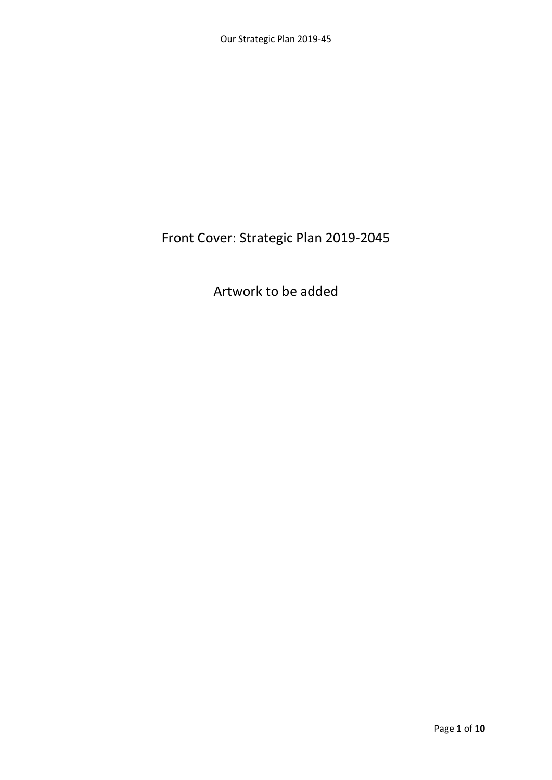### Front Cover: Strategic Plan 2019-2045

### Artwork to be added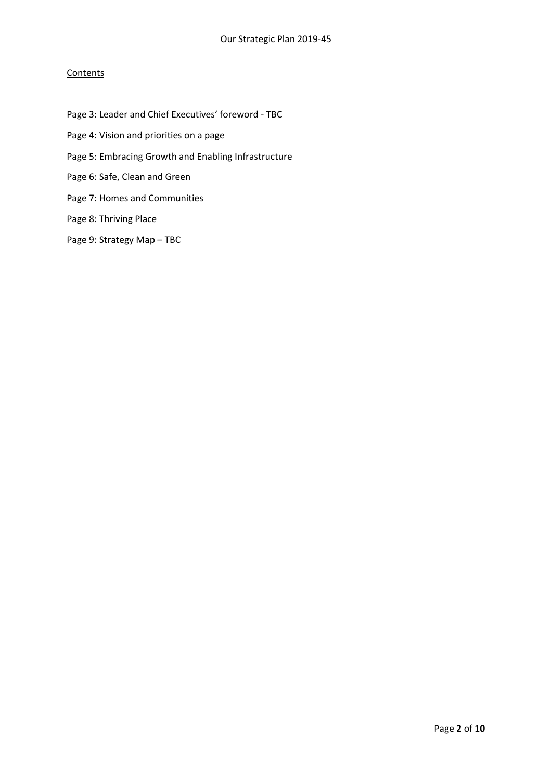#### **Contents**

- Page 3: Leader and Chief Executives' foreword TBC Page 4: Vision and priorities on a page
- Page 5: Embracing Growth and Enabling Infrastructure
- Page 6: Safe, Clean and Green
- Page 7: Homes and Communities

#### Page 8: Thriving Place

Page 9: Strategy Map – TBC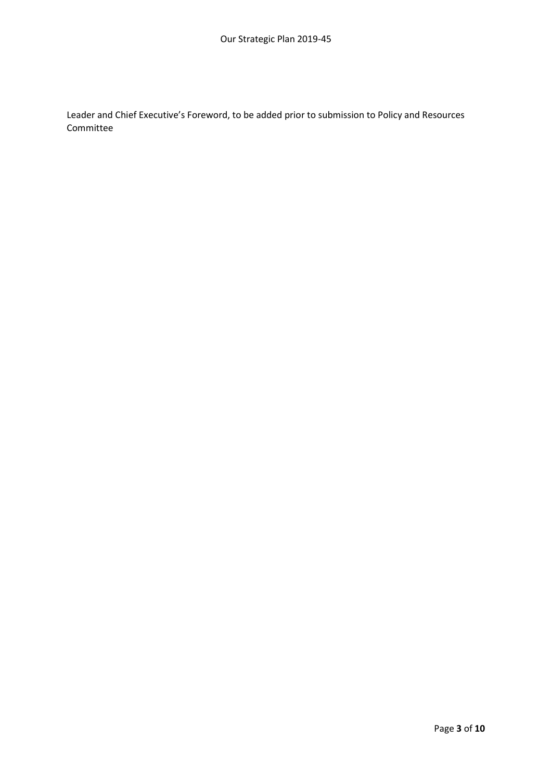Leader and Chief Executive's Foreword, to be added prior to submission to Policy and Resources Committee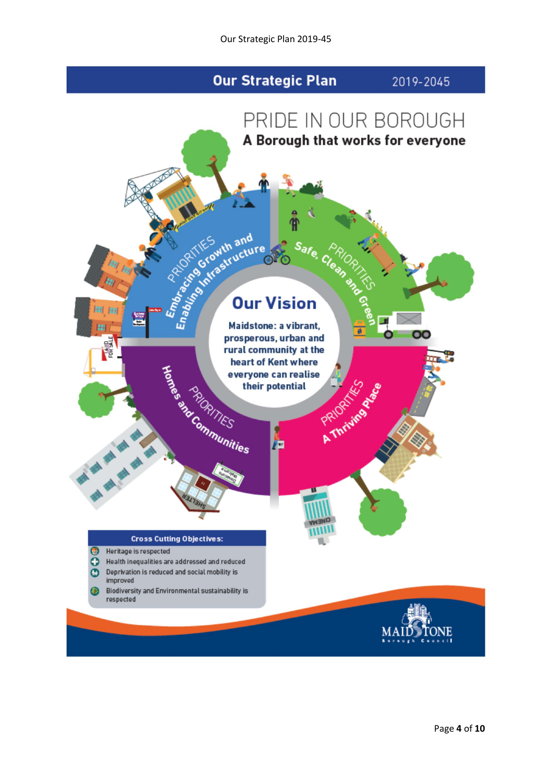### **Our Strategic Plan**

2019-2045





Biodiversity and Environmental sustainability is respected

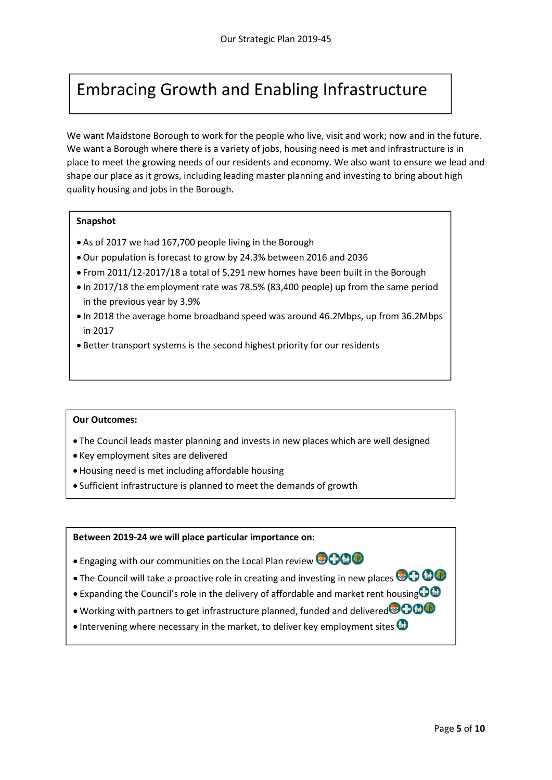## Embracing Growth and Enabling Infrastructure

We want Maidstone Borough to work for the people who live, visit and work; now and in the future. We want a Borough where there is a variety of jobs, housing need is met and infrastructure is in place to meet the growing needs of our residents and economy. We also want to ensure we lead and shape our place as it grows, including leading master planning and investing to bring about high quality housing and jobs in the Borough.

#### Snapshot

- As of 2017 we had 167,700 people living in the Borough
- Our population is forecast to grow by 24.3% between 2016 and 2036
- From 2011/12-2017/18 a total of 5,291 new homes have been built in the Borough
- In 2017/18 the employment rate was 78.5% (83,400 people) up from the same period in the previous year by 3.9%
- In 2018 the average home broadband speed was around 46.2Mbps, up from 36.2Mbps in 2017
- Better transport systems is the second highest priority for our residents

#### Our Outcomes:

- The Council leads master planning and invests in new places which are well designed
- Key employment sites are delivered
- Housing need is met including affordable housing
- Sufficient infrastructure is planned to meet the demands of growth

- Engaging with our communities on the Local Plan review **@ 000**
- The Council will take a proactive role in creating and investing in new places  $\bigoplus$   $\bigoplus$
- Expanding the Council's role in the delivery of affordable and market rent housing  $\bigoplus$
- Working with partners to get infrastructure planned, funded and delivered<sup>®</sup> COO
- Intervening where necessary in the market, to deliver key employment sites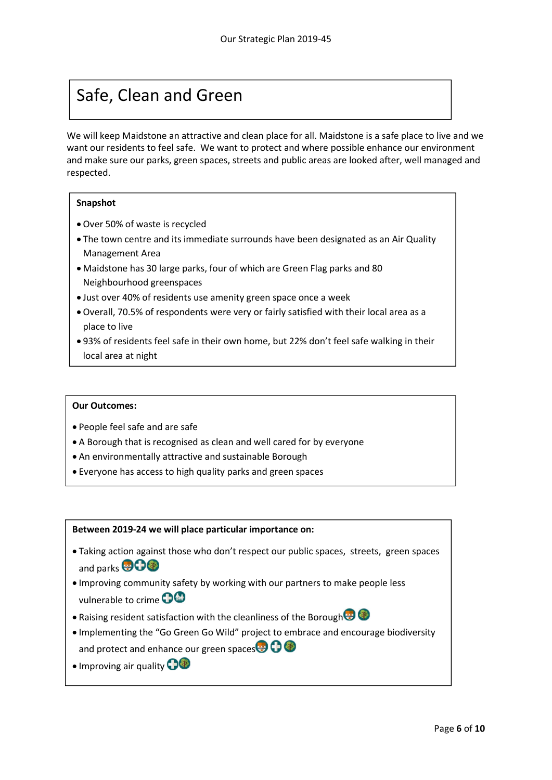## Safe, Clean and Green

We will keep Maidstone an attractive and clean place for all. Maidstone is a safe place to live and we want our residents to feel safe. We want to protect and where possible enhance our environment and make sure our parks, green spaces, streets and public areas are looked after, well managed and respected.

#### Snapshot

- Over 50% of waste is recycled
- The town centre and its immediate surrounds have been designated as an Air Quality Management Area
- Maidstone has 30 large parks, four of which are Green Flag parks and 80 Neighbourhood greenspaces
- Just over 40% of residents use amenity green space once a week
- Overall, 70.5% of respondents were very or fairly satisfied with their local area as a place to live
- 93% of residents feel safe in their own home, but 22% don't feel safe walking in their local area at night

#### Our Outcomes:

- People feel safe and are safe
- A Borough that is recognised as clean and well cared for by everyone
- An environmentally attractive and sustainable Borough
- Everyone has access to high quality parks and green spaces

- Taking action against those who don't respect our public spaces, streets, green spaces and parks **BOO**
- Improving community safety by working with our partners to make people less vulnerable to crime **OG**
- Raising resident satisfaction with the cleanliness of the Borough
- Implementing the "Go Green Go Wild" project to embrace and encourage biodiversity and protect and enhance our green spaces $\bullet$
- Improving air quality **O**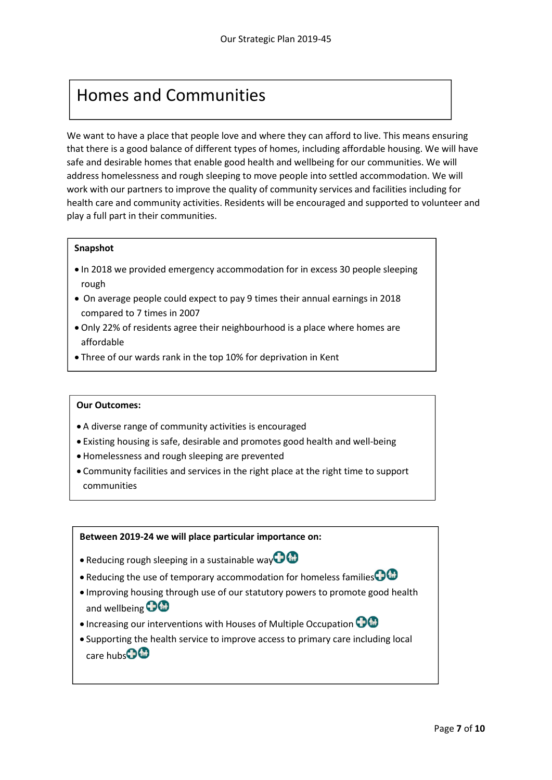## Homes and Communities

We want to have a place that people love and where they can afford to live. This means ensuring that there is a good balance of different types of homes, including affordable housing. We will have safe and desirable homes that enable good health and wellbeing for our communities. We will address homelessness and rough sleeping to move people into settled accommodation. We will work with our partners to improve the quality of community services and facilities including for health care and community activities. Residents will be encouraged and supported to volunteer and play a full part in their communities.

#### Snapshot

- $\bullet$  In 2018 we provided emergency accommodation for in excess 30 people sleeping rough
- On average people could expect to pay 9 times their annual earnings in 2018 compared to 7 times in 2007
- Only 22% of residents agree their neighbourhood is a place where homes are affordable
- Three of our wards rank in the top 10% for deprivation in Kent

#### Our Outcomes:

- A diverse range of community activities is encouraged
- Existing housing is safe, desirable and promotes good health and well-being
- Homelessness and rough sleeping are prevented

 $\overline{\phantom{a}}$  of residents live in the Maidstone urban area  $\overline{\phantom{a}}$ 

 Community facilities and services in the right place at the right time to support communities

- Reducing rough sleeping in a sustainable way  $\bigoplus$
- Reducing the use of temporary accommodation for homeless families $\bigodot$
- Improving housing through use of our statutory powers to promote good health and wellbeing  $\bigcirc$   $\bigcirc$
- Increasing our interventions with Houses of Multiple Occupation  $\bigcirc$
- Supporting the health service to improve access to primary care including local care hubs<sup>n</sup>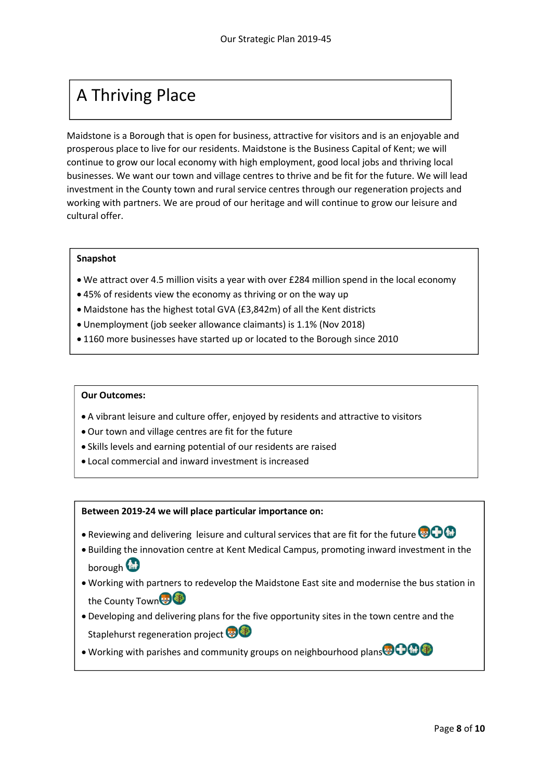# A Thriving Place

Maidstone is a Borough that is open for business, attractive for visitors and is an enjoyable and prosperous place to live for our residents. Maidstone is the Business Capital of Kent; we will continue to grow our local economy with high employment, good local jobs and thriving local businesses. We want our town and village centres to thrive and be fit for the future. We will lead investment in the County town and rural service centres through our regeneration projects and working with partners. We are proud of our heritage and will continue to grow our leisure and cultural offer.

#### Snapshot

- We attract over 4.5 million visits a year with over £284 million spend in the local economy
- 45% of residents view the economy as thriving or on the way up
- Maidstone has the highest total GVA (£3,842m) of all the Kent districts
- Unemployment (job seeker allowance claimants) is 1.1% (Nov 2018)
- 1160 more businesses have started up or located to the Borough since 2010

#### Our Outcomes:

- A vibrant leisure and culture offer, enjoyed by residents and attractive to visitors
- Our town and village centres are fit for the future
- Skills levels and earning potential of our residents are raised
- Local commercial and inward investment is increased

- Reviewing and delivering leisure and cultural services that are fit for the future  $\bigcirc$   $\bigcirc$
- Building the innovation centre at Kent Medical Campus, promoting inward investment in the borough<sup>(M)</sup>
- Working with partners to redevelop the Maidstone East site and modernise the bus station in the County Town
- Developing and delivering plans for the five opportunity sites in the town centre and the Staplehurst regeneration project
- Working with parishes and community groups on neighbourhood plans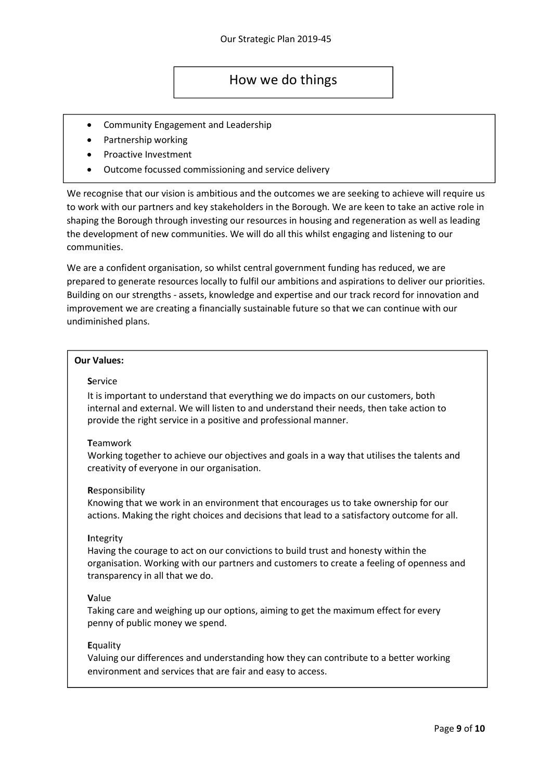### How we do things

- Community Engagement and Leadership
- Partnership working
- Proactive Investment
- Outcome focussed commissioning and service delivery

We recognise that our vision is ambitious and the outcomes we are seeking to achieve will require us to work with our partners and key stakeholders in the Borough. We are keen to take an active role in shaping the Borough through investing our resources in housing and regeneration as well as leading the development of new communities. We will do all this whilst engaging and listening to our communities.

We are a confident organisation, so whilst central government funding has reduced, we are prepared to generate resources locally to fulfil our ambitions and aspirations to deliver our priorities. Building on our strengths - assets, knowledge and expertise and our track record for innovation and improvement we are creating a financially sustainable future so that we can continue with our undiminished plans.

#### Our Values:

#### **Service**

It is important to understand that everything we do impacts on our customers, both internal and external. We will listen to and understand their needs, then take action to provide the right service in a positive and professional manner.

#### **T**eamwork

Working together to achieve our objectives and goals in a way that utilises the talents and creativity of everyone in our organisation.

#### Responsibility

Knowing that we work in an environment that encourages us to take ownership for our actions. Making the right choices and decisions that lead to a satisfactory outcome for all.

#### **Integrity**

Having the courage to act on our convictions to build trust and honesty within the organisation. Working with our partners and customers to create a feeling of openness and transparency in all that we do.

#### Value

Taking care and weighing up our options, aiming to get the maximum effect for every penny of public money we spend.

#### **Equality**

Valuing our differences and understanding how they can contribute to a better working environment and services that are fair and easy to access.